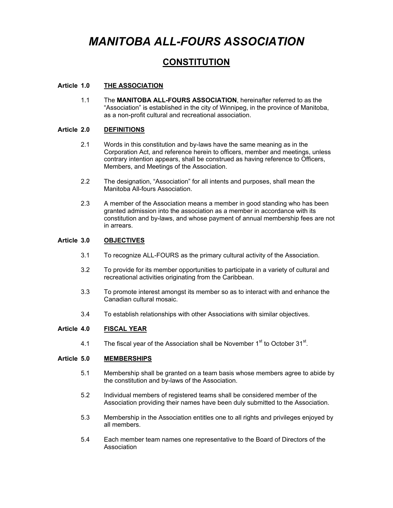# *MANITOBA ALL-FOURS ASSOCIATION*

# **CONSTITUTION**

### **Article 1.0 THE ASSOCIATION**

1.1 The **MANITOBA ALL-FOURS ASSOCIATION**, hereinafter referred to as the "Association" is established in the city of Winnipeg, in the province of Manitoba, as a non-profit cultural and recreational association.

#### **Article 2.0 DEFINITIONS**

- 2.1 Words in this constitution and by-laws have the same meaning as in the Corporation Act, and reference herein to officers, member and meetings, unless contrary intention appears, shall be construed as having reference to Officers, Members, and Meetings of the Association.
- 2.2 The designation, "Association" for all intents and purposes, shall mean the Manitoba All-fours Association.
- 2.3 A member of the Association means a member in good standing who has been granted admission into the association as a member in accordance with its constitution and by-laws, and whose payment of annual membership fees are not in arrears.

# **Article 3.0 OBJECTIVES**

- 3.1 To recognize ALL-FOURS as the primary cultural activity of the Association.
- 3.2 To provide for its member opportunities to participate in a variety of cultural and recreational activities originating from the Caribbean.
- 3.3 To promote interest amongst its member so as to interact with and enhance the Canadian cultural mosaic.
- 3.4 To establish relationships with other Associations with similar objectives.

# **Article 4.0 FISCAL YEAR**

4.1 The fiscal year of the Association shall be November  $1<sup>st</sup>$  to October 31 $<sup>st</sup>$ .</sup>

# **Article 5.0 MEMBERSHIPS**

- 5.1 Membership shall be granted on a team basis whose members agree to abide by the constitution and by-laws of the Association.
- 5.2 Individual members of registered teams shall be considered member of the Association providing their names have been duly submitted to the Association.
- 5.3 Membership in the Association entitles one to all rights and privileges enjoyed by all members.
- 5.4 Each member team names one representative to the Board of Directors of the Association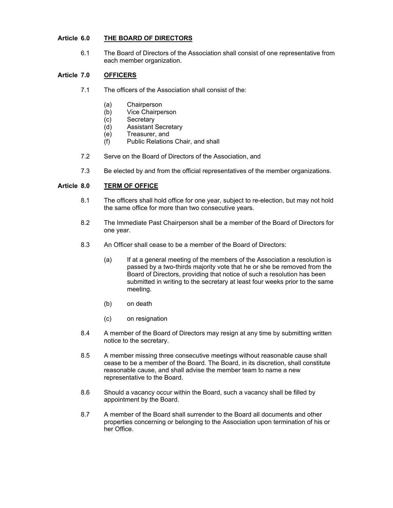# **Article 6.0 THE BOARD OF DIRECTORS**

6.1 The Board of Directors of the Association shall consist of one representative from each member organization.

# **Article 7.0 OFFICERS**

- 7.1 The officers of the Association shall consist of the:
	- (a) Chairperson
	- (b) Vice Chairperson
	- (c) Secretary
	- (d) Assistant Secretary
	- (e) Treasurer, and
	- (f) Public Relations Chair, and shall
- 7.2 Serve on the Board of Directors of the Association, and
- 7.3 Be elected by and from the official representatives of the member organizations.

# **Article 8.0 TERM OF OFFICE**

- 8.1 The officers shall hold office for one year, subject to re-election, but may not hold the same office for more than two consecutive years.
- 8.2 The Immediate Past Chairperson shall be a member of the Board of Directors for one year.
- 8.3 An Officer shall cease to be a member of the Board of Directors:
	- (a) If at a general meeting of the members of the Association a resolution is passed by a two-thirds majority vote that he or she be removed from the Board of Directors, providing that notice of such a resolution has been submitted in writing to the secretary at least four weeks prior to the same meeting.
	- (b) on death
	- (c) on resignation
- 8.4 A member of the Board of Directors may resign at any time by submitting written notice to the secretary.
- 8.5 A member missing three consecutive meetings without reasonable cause shall cease to be a member of the Board. The Board, in its discretion, shall constitute reasonable cause, and shall advise the member team to name a new representative to the Board.
- 8.6 Should a vacancy occur within the Board, such a vacancy shall be filled by appointment by the Board.
- 8.7 A member of the Board shall surrender to the Board all documents and other properties concerning or belonging to the Association upon termination of his or her Office.